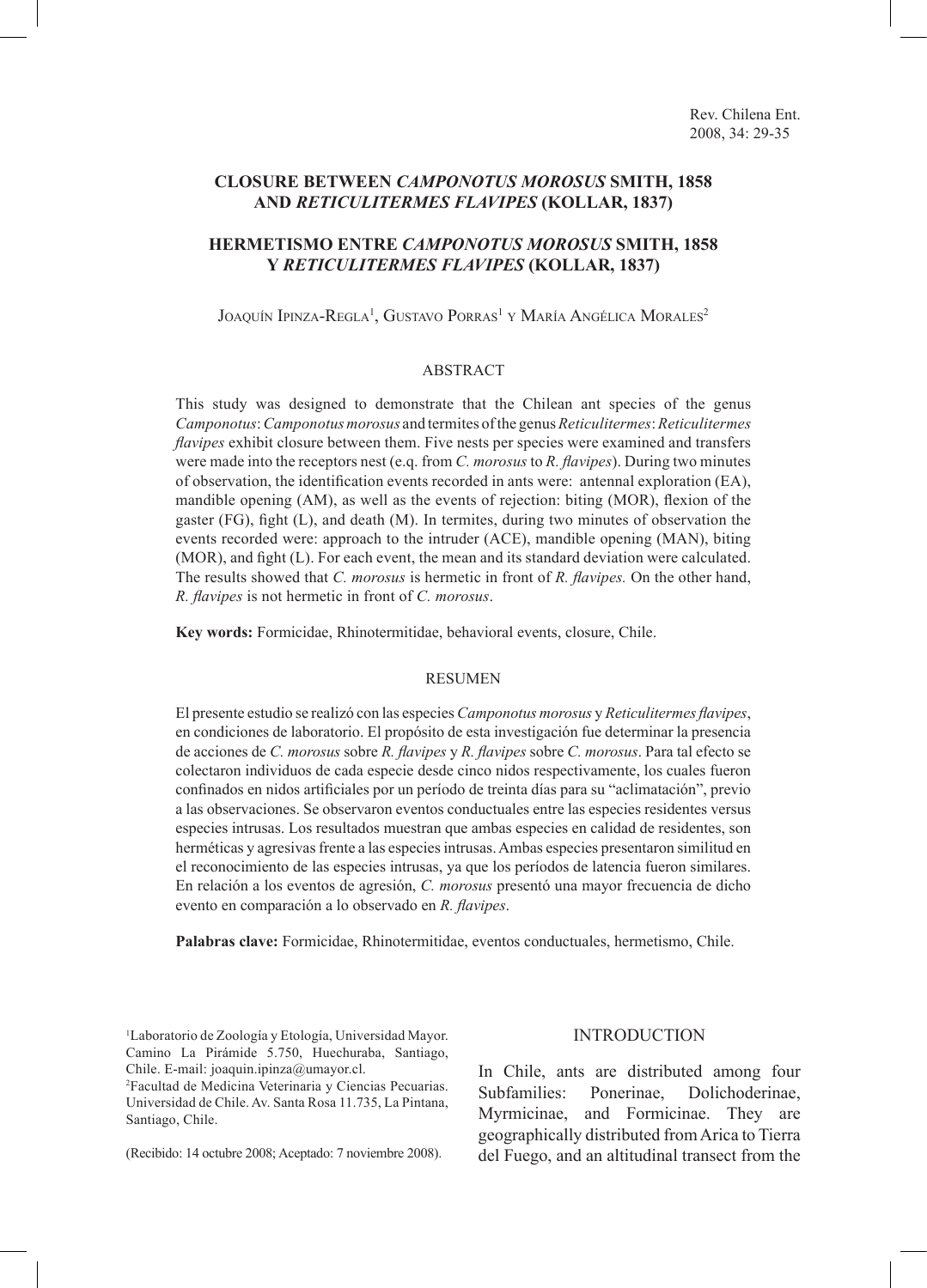# **CLOSURE BETWEEN** *CAMPONOTUS MOROSUS* **SMITH, 1858 AND** *RETICULITERMES FLAVIPES* **(KOLLAR, 1837)**

# **HERMETISMO ENTRE** *CAMPONOTUS MOROSUS* **SMITH, 1858 Y** *RETICULITERMES FLAVIPES* **(KOLLAR, 1837)**

Joaquín Ipinza-Regla<sup>1</sup>, Gustavo Porras<sup>1</sup> y María Angélica Morales<sup>2</sup>

### ABSTRACT

This study was designed to demonstrate that the Chilean ant species of the genus *Camponotus*: *Camponotus morosus* and termites of the genus *Reticulitermes*: *Reticulitermes flavipes* exhibit closure between them. Five nests per species were examined and transfers were made into the receptors nest (e.q. from *C. morosus* to *R. flavipes*). During two minutes of observation, the identification events recorded in ants were: antennal exploration (EA), mandible opening (AM), as well as the events of rejection: biting (MOR), flexion of the gaster  $(FG)$ , fight  $(L)$ , and death  $(M)$ . In termites, during two minutes of observation the events recorded were: approach to the intruder (ACE), mandible opening (MAN), biting (MOR), and fight (L). For each event, the mean and its standard deviation were calculated. The results showed that *C. morosus* is hermetic in front of *R. flavipes.* On the other hand, *R. flavipes* is not hermetic in front of *C. morosus*.

**Key words:** Formicidae, Rhinotermitidae, behavioral events, closure, Chile.

#### RESUMEN

El presente estudio se realizó con las especies *Camponotus morosus* y *Reticulitermes flavipes*, en condiciones de laboratorio. El propósito de esta investigación fue determinar la presencia de acciones de *C. morosus* sobre *R. flavipes* y *R. flavipes* sobre *C. morosus*. Para tal efecto se colectaron individuos de cada especie desde cinco nidos respectivamente, los cuales fueron confinados en nidos artificiales por un período de treinta días para su "aclimatación", previo a las observaciones. Se observaron eventos conductuales entre las especies residentes versus especies intrusas. Los resultados muestran que ambas especies en calidad de residentes, son herméticas y agresivas frente a las especies intrusas. Ambas especies presentaron similitud en el reconocimiento de las especies intrusas, ya que los períodos de latencia fueron similares. En relación a los eventos de agresión, *C. morosus* presentó una mayor frecuencia de dicho evento en comparación a lo observado en *R. flavipes*.

**Palabras clave:** Formicidae, Rhinotermitidae, eventos conductuales, hermetismo, Chile.

1 Laboratorio de Zoología y Etología, Universidad Mayor. Camino La Pirámide 5.750, Huechuraba, Santiago, Chile. E-mail: joaquin.ipinza@umayor.cl.

2 Facultad de Medicina Veterinaria y Ciencias Pecuarias. Universidad de Chile. Av. Santa Rosa 11.735, La Pintana, Santiago, Chile.

(Recibido: 14 octubre 2008; Aceptado: 7 noviembre 2008).

## INTRODUCTION

In Chile, ants are distributed among four Subfamilies: Ponerinae, Dolichoderinae, Myrmicinae, and Formicinae. They are geographically distributed from Arica to Tierra del Fuego, and an altitudinal transect from the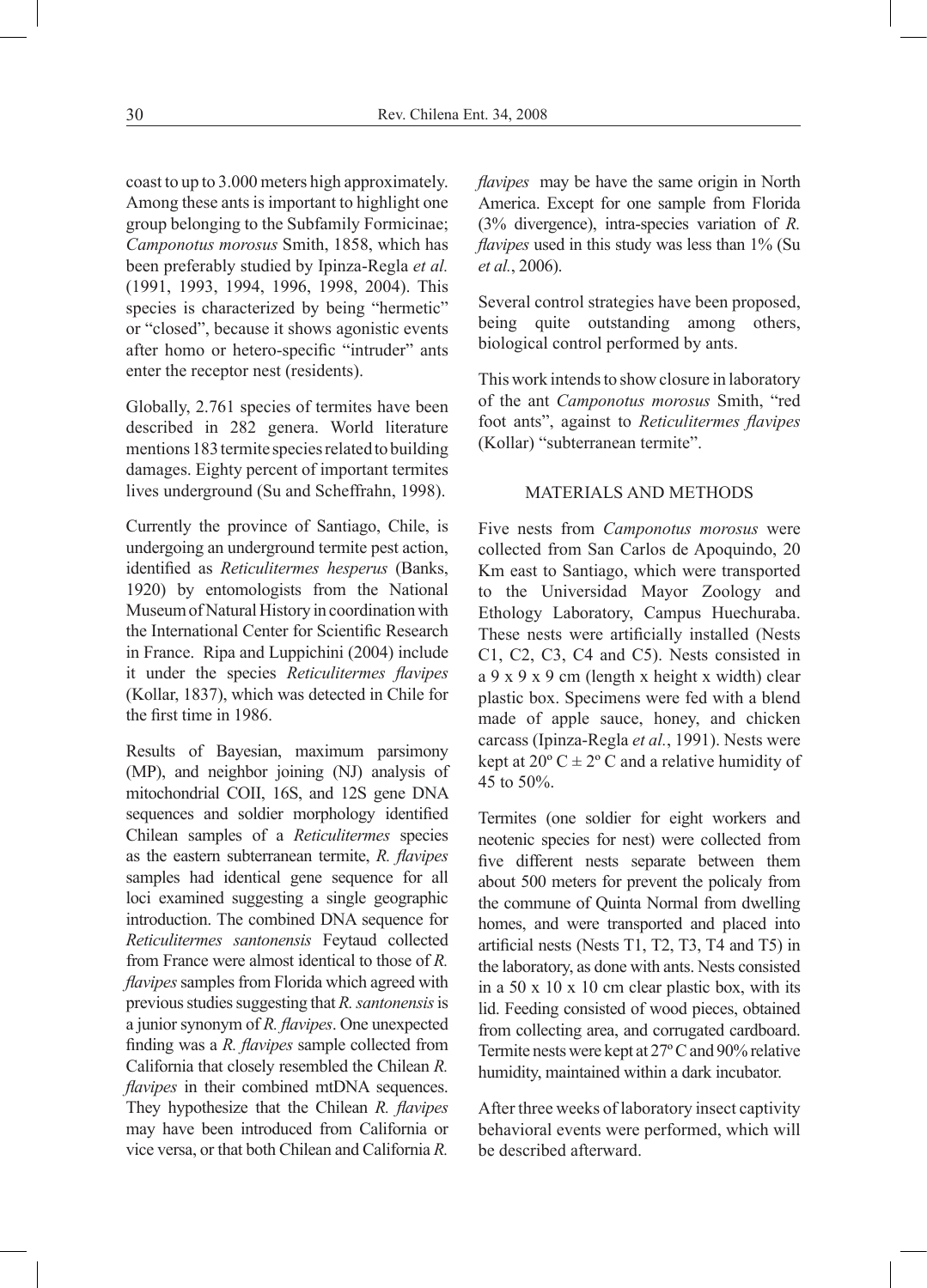coast to up to 3.000 meters high approximately. Among these ants is important to highlight one group belonging to the Subfamily Formicinae; *Camponotus morosus* Smith, 1858, which has been preferably studied by Ipinza-Regla *et al.* (1991, 1993, 1994, 1996, 1998, 2004). This species is characterized by being "hermetic" or "closed", because it shows agonistic events after homo or hetero-specific "intruder" ants enter the receptor nest (residents).

Globally, 2.761 species of termites have been described in 282 genera. World literature mentions 183 termite species related to building damages. Eighty percent of important termites lives underground (Su and Scheffrahn, 1998).

Currently the province of Santiago, Chile, is undergoing an underground termite pest action, identified as *Reticulitermes hesperus* (Banks, 1920) by entomologists from the National Museum of Natural History in coordination with the International Center for Scientific Research in France. Ripa and Luppichini (2004) include it under the species *Reticulitermes flavipes* (Kollar, 1837), which was detected in Chile for the first time in 1986.

Results of Bayesian, maximum parsimony (MP), and neighbor joining (NJ) analysis of mitochondrial COII, 16S, and 12S gene DNA sequences and soldier morphology identified Chilean samples of a *Reticulitermes* species as the eastern subterranean termite, *R. flavipes*  samples had identical gene sequence for all loci examined suggesting a single geographic introduction. The combined DNA sequence for *Reticulitermes santonensis* Feytaud collected from France were almost identical to those of *R. flavipes* samples from Florida which agreed with previous studies suggesting that *R. santonensis* is a junior synonym of *R. flavipes*. One unexpected finding was a *R. flavipes* sample collected from California that closely resembled the Chilean *R. flavipes* in their combined mtDNA sequences. They hypothesize that the Chilean *R. flavipes*  may have been introduced from California or vice versa, or that both Chilean and California *R.* 

*flavipes* may be have the same origin in North America. Except for one sample from Florida (3% divergence), intra-species variation of *R. flavipes* used in this study was less than 1% (Su *et al.*, 2006).

Several control strategies have been proposed, being quite outstanding among others, biological control performed by ants.

This work intends to show closure in laboratory of the ant *Camponotus morosus* Smith, "red foot ants", against to *Reticulitermes flavipes* (Kollar) "subterranean termite".

### MATERIALS AND METHODS

Five nests from *Camponotus morosus* were collected from San Carlos de Apoquindo, 20 Km east to Santiago, which were transported to the Universidad Mayor Zoology and Ethology Laboratory, Campus Huechuraba. These nests were artificially installed (Nests C1, C2, C3, C4 and C5). Nests consisted in a 9 x 9 x 9 cm (length x height x width) clear plastic box. Specimens were fed with a blend made of apple sauce, honey, and chicken carcass (Ipinza-Regla *et al.*, 1991). Nests were kept at  $20^{\circ}$  C  $\pm$  2° C and a relative humidity of 45 to 50%.

Termites (one soldier for eight workers and neotenic species for nest) were collected from five different nests separate between them about 500 meters for prevent the policaly from the commune of Quinta Normal from dwelling homes, and were transported and placed into artificial nests (Nests T1, T2, T3, T4 and T5) in the laboratory, as done with ants. Nests consisted in a 50 x 10 x 10 cm clear plastic box, with its lid. Feeding consisted of wood pieces, obtained from collecting area, and corrugated cardboard. Termite nests were kept at 27º C and 90% relative humidity, maintained within a dark incubator.

After three weeks of laboratory insect captivity behavioral events were performed, which will be described afterward.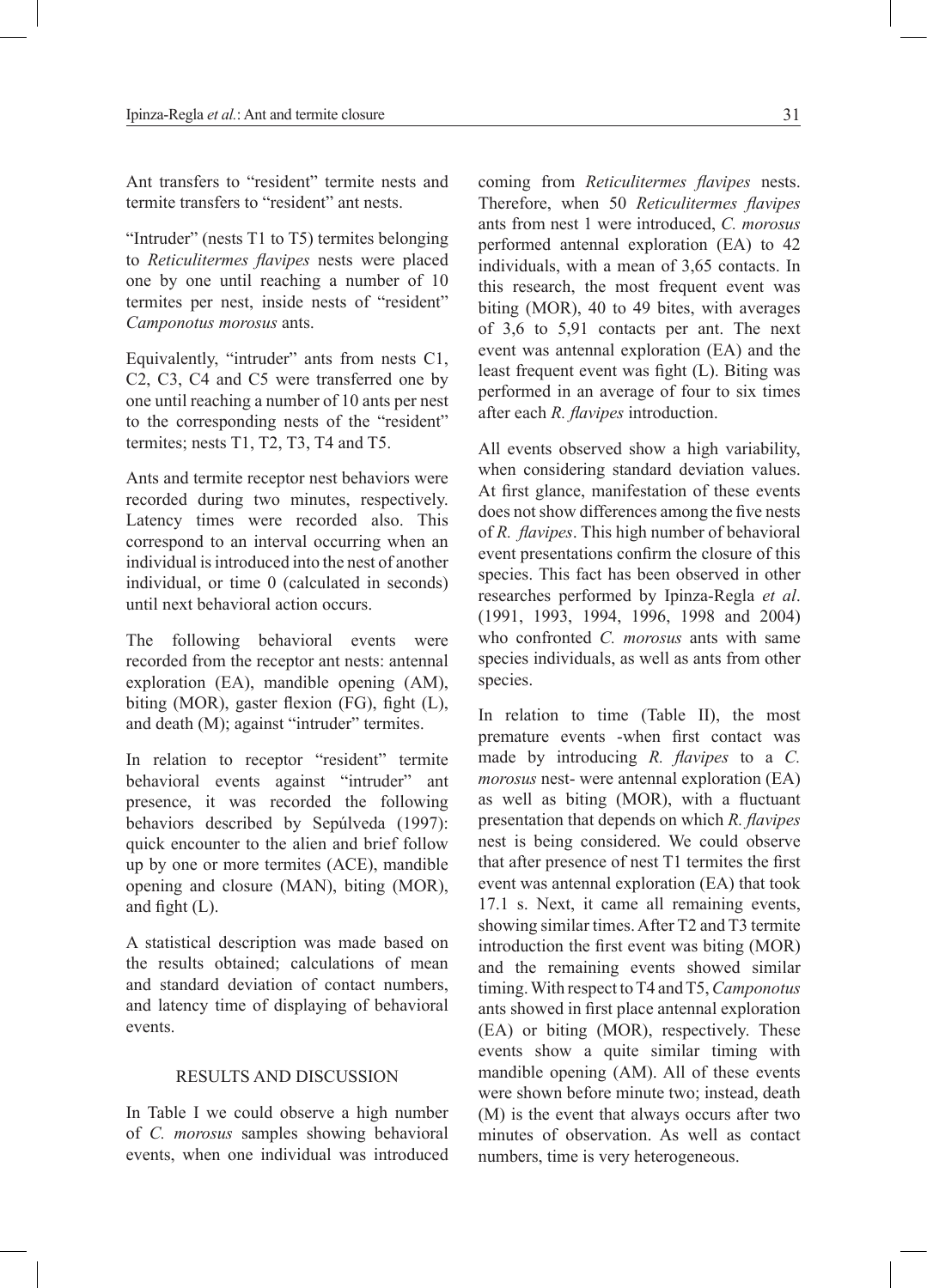Ant transfers to "resident" termite nests and termite transfers to "resident" ant nests.

"Intruder" (nests T1 to T5) termites belonging to *Reticulitermes flavipes* nests were placed one by one until reaching a number of 10 termites per nest, inside nests of "resident" *Camponotus morosus* ants.

Equivalently, "intruder" ants from nests C1, C2, C3, C4 and C5 were transferred one by one until reaching a number of 10 ants per nest to the corresponding nests of the "resident" termites; nests T1, T2, T3, T4 and T5.

Ants and termite receptor nest behaviors were recorded during two minutes, respectively. Latency times were recorded also. This correspond to an interval occurring when an individual is introduced into the nest of another individual, or time 0 (calculated in seconds) until next behavioral action occurs.

The following behavioral events were recorded from the receptor ant nests: antennal exploration (EA), mandible opening (AM), biting (MOR), gaster flexion (FG), fight (L), and death (M); against "intruder" termites.

In relation to receptor "resident" termite behavioral events against "intruder" ant presence, it was recorded the following behaviors described by Sepúlveda (1997): quick encounter to the alien and brief follow up by one or more termites (ACE), mandible opening and closure (MAN), biting (MOR), and fight (L).

A statistical description was made based on the results obtained; calculations of mean and standard deviation of contact numbers, and latency time of displaying of behavioral events.

#### RESULTS AND DISCUSSION

In Table I we could observe a high number of *C. morosus* samples showing behavioral events, when one individual was introduced coming from *Reticulitermes flavipes* nests. Therefore, when 50 *Reticulitermes flavipes* ants from nest 1 were introduced, *C. morosus* performed antennal exploration (EA) to 42 individuals, with a mean of 3,65 contacts. In this research, the most frequent event was biting (MOR), 40 to 49 bites, with averages of 3,6 to 5,91 contacts per ant. The next event was antennal exploration (EA) and the least frequent event was fight (L). Biting was performed in an average of four to six times after each *R. flavipes* introduction.

All events observed show a high variability, when considering standard deviation values. At first glance, manifestation of these events does not show differences among the five nests of *R. flavipes*. This high number of behavioral event presentations confirm the closure of this species. This fact has been observed in other researches performed by Ipinza-Regla *et al*. (1991, 1993, 1994, 1996, 1998 and 2004) who confronted *C. morosus* ants with same species individuals, as well as ants from other species.

In relation to time (Table II), the most premature events -when first contact was made by introducing *R. flavipes* to a *C. morosus* nest- were antennal exploration (EA) as well as biting (MOR), with a fluctuant presentation that depends on which *R. flavipes*  nest is being considered. We could observe that after presence of nest T1 termites the first event was antennal exploration (EA) that took 17.1 s. Next, it came all remaining events, showing similar times. After T2 and T3 termite introduction the first event was biting (MOR) and the remaining events showed similar timing. With respect to T4 and T5, *Camponotus*  ants showed in first place antennal exploration (EA) or biting (MOR), respectively. These events show a quite similar timing with mandible opening (AM). All of these events were shown before minute two; instead, death (M) is the event that always occurs after two minutes of observation. As well as contact numbers, time is very heterogeneous.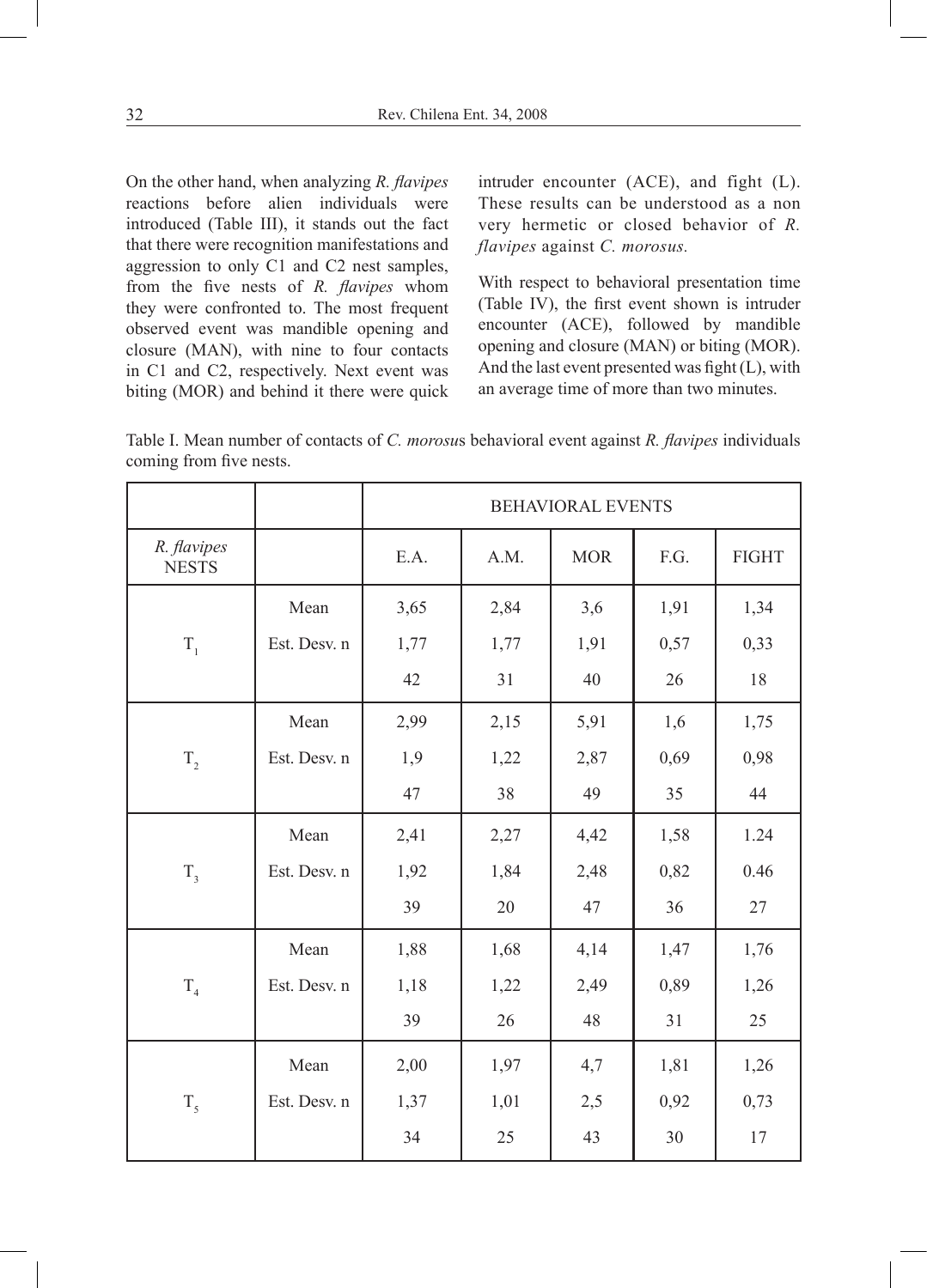On the other hand, when analyzing *R. flavipes*  reactions before alien individuals were introduced (Table III), it stands out the fact that there were recognition manifestations and aggression to only C1 and C2 nest samples, from the five nests of *R. flavipes* whom they were confronted to. The most frequent observed event was mandible opening and closure (MAN), with nine to four contacts in C1 and C2, respectively. Next event was biting (MOR) and behind it there were quick

intruder encounter (ACE), and fight (L). These results can be understood as a non very hermetic or closed behavior of *R. flavipes* against *C. morosus.*

With respect to behavioral presentation time (Table IV), the first event shown is intruder encounter (ACE), followed by mandible opening and closure (MAN) or biting (MOR). And the last event presented was fight (L), with an average time of more than two minutes.

Table I. Mean number of contacts of *C. morosu*s behavioral event against *R. flavipes* individuals coming from five nests.

|                             |              | <b>BEHAVIORAL EVENTS</b> |      |            |      |              |
|-----------------------------|--------------|--------------------------|------|------------|------|--------------|
| R. flavipes<br><b>NESTS</b> |              | E.A.                     | A.M. | <b>MOR</b> | F.G. | <b>FIGHT</b> |
|                             | Mean         | 3,65                     | 2,84 | 3,6        | 1,91 | 1,34         |
| $T_{1}$                     | Est. Desv. n | 1,77                     | 1,77 | 1,91       | 0,57 | 0,33         |
|                             |              | 42                       | 31   | 40         | 26   | 18           |
|                             | Mean         | 2,99                     | 2,15 | 5,91       | 1,6  | 1,75         |
| $T_{2}$                     | Est. Desv. n | 1,9                      | 1,22 | 2,87       | 0,69 | 0,98         |
|                             |              | 47                       | 38   | 49         | 35   | 44           |
|                             | Mean         | 2,41                     | 2,27 | 4,42       | 1,58 | 1.24         |
| $T_{3}$                     | Est. Desv. n | 1,92                     | 1,84 | 2,48       | 0,82 | 0.46         |
|                             |              | 39                       | 20   | 47         | 36   | 27           |
|                             | Mean         | 1,88                     | 1,68 | 4,14       | 1,47 | 1,76         |
| T <sub>4</sub>              | Est. Desv. n | 1,18                     | 1,22 | 2,49       | 0,89 | 1,26         |
|                             |              | 39                       | 26   | 48         | 31   | 25           |
|                             | Mean         | 2,00                     | 1,97 | 4,7        | 1,81 | 1,26         |
| T <sub>5</sub>              | Est. Desv. n | 1,37                     | 1,01 | 2,5        | 0,92 | 0,73         |
|                             |              | 34                       | 25   | 43         | 30   | 17           |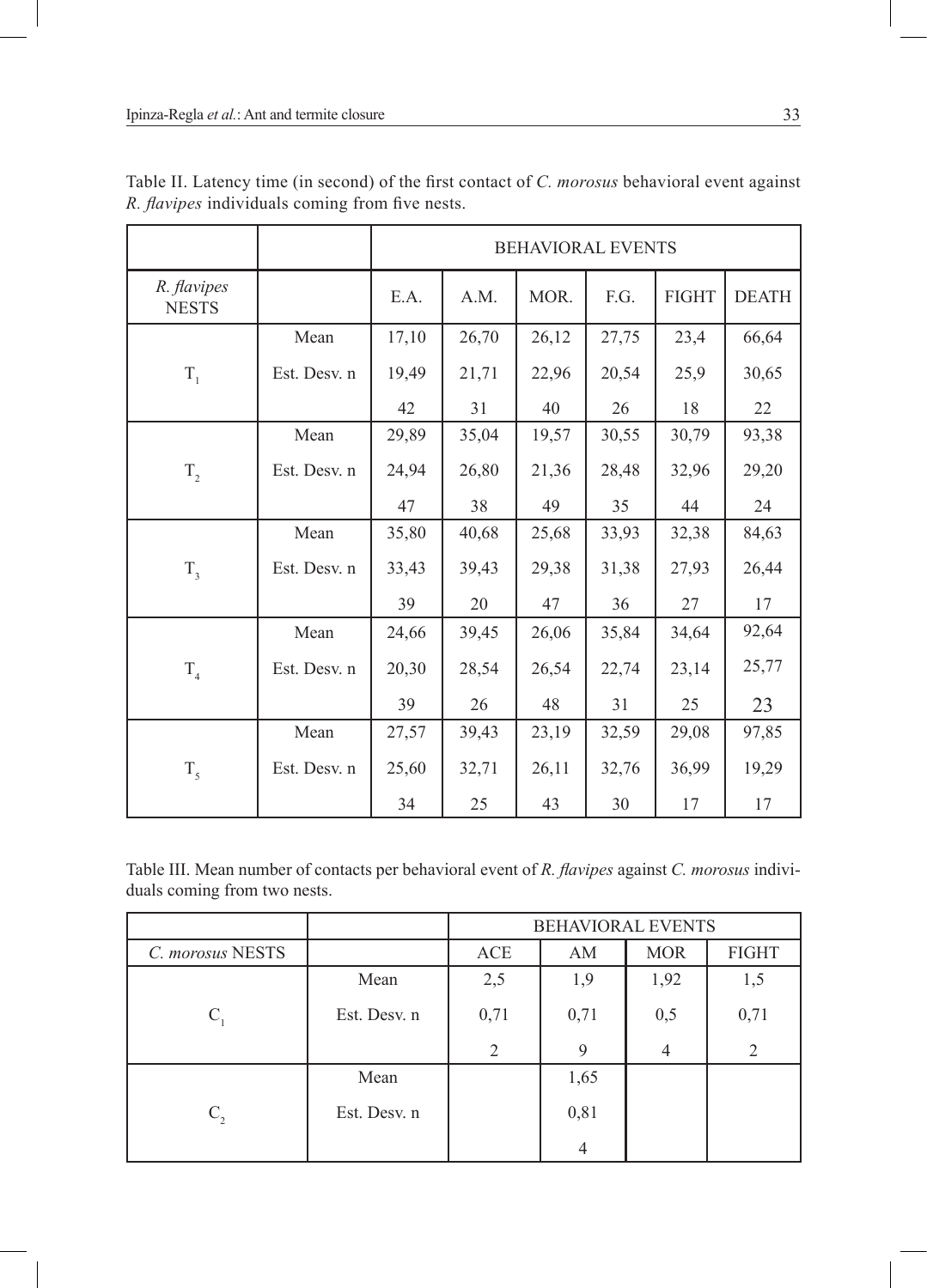|                             |              | <b>BEHAVIORAL EVENTS</b> |       |       |       |              |              |
|-----------------------------|--------------|--------------------------|-------|-------|-------|--------------|--------------|
| R. flavipes<br><b>NESTS</b> |              | E.A.                     | A.M.  | MOR.  | F.G.  | <b>FIGHT</b> | <b>DEATH</b> |
|                             | Mean         | 17,10                    | 26,70 | 26,12 | 27,75 | 23,4         | 66,64        |
| $T_{1}$                     | Est. Desv. n | 19,49                    | 21,71 | 22,96 | 20,54 | 25,9         | 30,65        |
|                             |              | 42                       | 31    | 40    | 26    | 18           | 22           |
|                             | Mean         | 29,89                    | 35,04 | 19,57 | 30,55 | 30,79        | 93,38        |
| $T_{2}$                     | Est. Desv. n | 24,94                    | 26,80 | 21,36 | 28,48 | 32,96        | 29,20        |
|                             |              | 47                       | 38    | 49    | 35    | 44           | 24           |
|                             | Mean         | 35,80                    | 40,68 | 25,68 | 33,93 | 32,38        | 84,63        |
| $T_{3}$                     | Est. Desv. n | 33,43                    | 39,43 | 29,38 | 31,38 | 27,93        | 26,44        |
|                             |              | 39                       | 20    | 47    | 36    | 27           | 17           |
|                             | Mean         | 24,66                    | 39,45 | 26,06 | 35,84 | 34,64        | 92,64        |
| $T_{4}$                     | Est. Desv. n | 20,30                    | 28,54 | 26,54 | 22,74 | 23,14        | 25,77        |
|                             |              | 39                       | 26    | 48    | 31    | 25           | 23           |
|                             | Mean         | 27,57                    | 39,43 | 23,19 | 32,59 | 29,08        | 97,85        |
| $T_{\zeta}$                 | Est. Desv. n | 25,60                    | 32,71 | 26,11 | 32,76 | 36,99        | 19,29        |
|                             |              | 34                       | 25    | 43    | 30    | 17           | 17           |

Table II. Latency time (in second) of the first contact of *C. morosus* behavioral event against *R. flavipes* individuals coming from five nests.

Table III. Mean number of contacts per behavioral event of *R. flavipes* against *C. morosus* individuals coming from two nests.

|                  |              | <b>BEHAVIORAL EVENTS</b> |      |                |              |  |
|------------------|--------------|--------------------------|------|----------------|--------------|--|
| C. morosus NESTS |              | ACE                      | AM   | <b>MOR</b>     | <b>FIGHT</b> |  |
|                  | Mean         | 2,5                      | 1,9  | 1,92           | 1,5          |  |
| $C_{1}$          | Est. Desv. n | 0,71                     | 0,71 | 0,5            | 0,71         |  |
|                  |              | 2                        | 9    | $\overline{4}$ | 2            |  |
|                  | Mean         |                          | 1,65 |                |              |  |
| $C_{2}$          | Est. Desv. n |                          | 0,81 |                |              |  |
|                  |              |                          | 4    |                |              |  |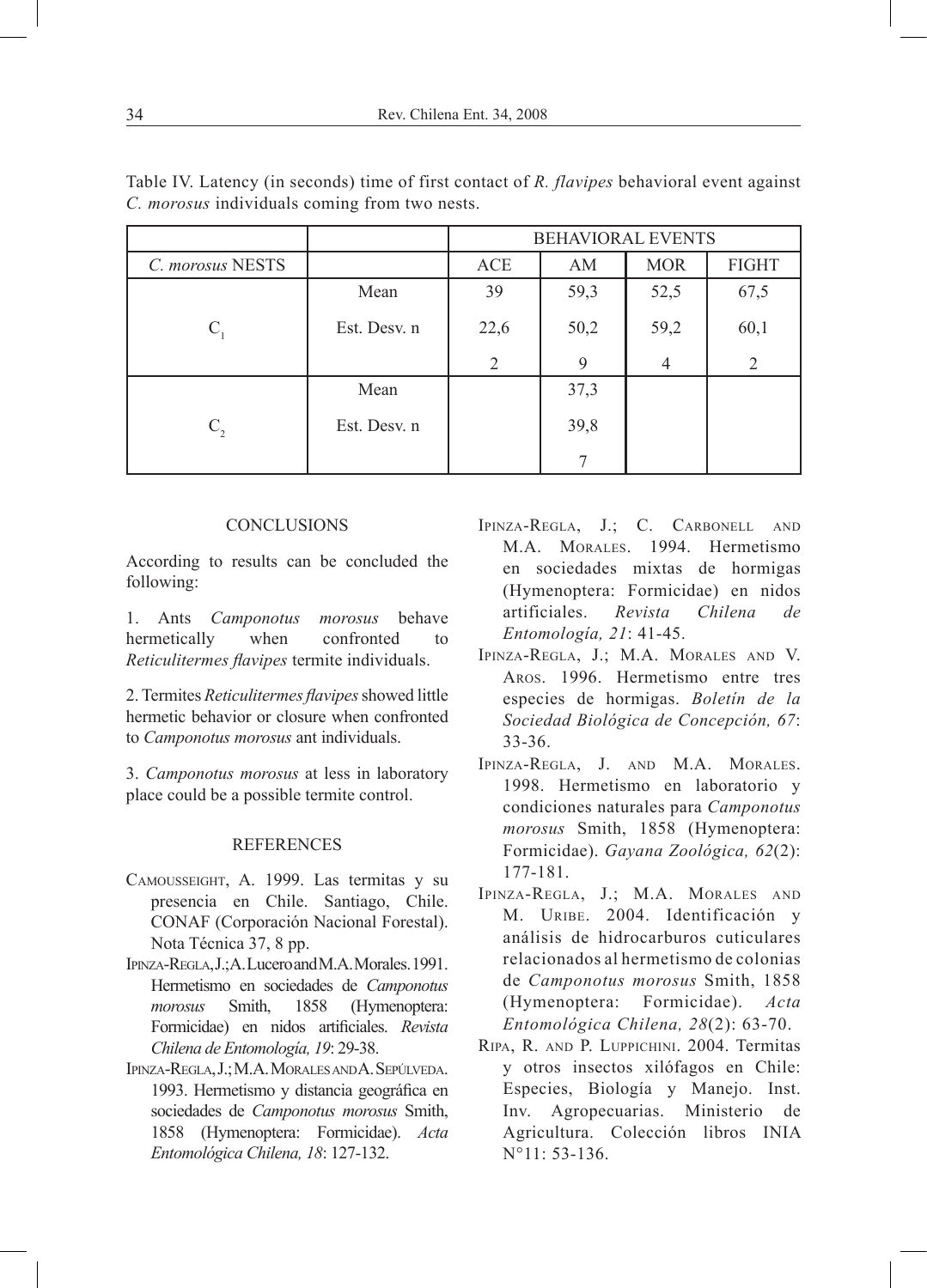|                  |              | <b>BEHAVIORAL EVENTS</b> |      |            |              |  |
|------------------|--------------|--------------------------|------|------------|--------------|--|
| C. morosus NESTS |              | ACE                      | AM   | <b>MOR</b> | <b>FIGHT</b> |  |
|                  | Mean         | 39                       | 59,3 | 52,5       | 67,5         |  |
| $C_{1}$          | Est. Desv. n | 22,6                     | 50,2 | 59,2       | 60,1         |  |
|                  |              | 2                        | 9    | 4          | 2            |  |
|                  | Mean         |                          | 37,3 |            |              |  |
| $C_{2}$          | Est. Desv. n |                          | 39,8 |            |              |  |
|                  |              |                          | 7    |            |              |  |

Table IV. Latency (in seconds) time of first contact of *R. flavipes* behavioral event against *C. morosus* individuals coming from two nests.

## **CONCLUSIONS**

According to results can be concluded the following:

1. Ants *Camponotus morosus* behave hermetically when confronted to *Reticulitermes flavipes* termite individuals.

2. Termites *Reticulitermes flavipes* showed little hermetic behavior or closure when confronted to *Camponotus morosus* ant individuals.

3. *Camponotus morosus* at less in laboratory place could be a possible termite control.

## REFERENCES

- Camousseight, A. 1999. Las termitas y su presencia en Chile. Santiago, Chile. CONAF (Corporación Nacional Forestal). Nota Técnica 37, 8 pp.
- Ipinza-Regla, J.; A. Lucero and M.A. Morales. 1991. Hermetismo en sociedades de *Camponotus morosus* Smith, 1858 (Hymenoptera: Formicidae) en nidos artificiales. *Revista Chilena de Entomología, 19*: 29-38.
- Ipinza-Regla, J.; M.A. MoralesandA. Sepúlveda. 1993. Hermetismo y distancia geográfica en sociedades de *Camponotus morosus* Smith, 1858 (Hymenoptera: Formicidae). *Acta Entomológica Chilena, 18*: 127-132.
- Ipinza-Regla, J.; C. Carbonell and M.A. Morales. 1994. Hermetismo en sociedades mixtas de hormigas (Hymenoptera: Formicidae) en nidos artificiales. *Revista Chilena de Entomología, 21*: 41-45.
- Ipinza-Regla, J.; M.A. Morales and V. Aros. 1996. Hermetismo entre tres especies de hormigas. *Boletín de la Sociedad Biológica de Concepción, 67*: 33-36.
- Ipinza-Regla, J. and M.A. Morales. 1998. Hermetismo en laboratorio y condiciones naturales para *Camponotus morosus* Smith, 1858 (Hymenoptera: Formicidae). *Gayana Zoológica, 62*(2): 177-181.
- Ipinza-Regla, J.; M.A. Morales and M. URIBE. 2004. Identificación y análisis de hidrocarburos cuticulares relacionados al hermetismo de colonias de *Camponotus morosus* Smith, 1858 (Hymenoptera: Formicidae). *Acta Entomológica Chilena, 28*(2): 63-70.
- Ripa, R. and P. Luppichini. 2004. Termitas y otros insectos xilófagos en Chile: Especies, Biología y Manejo. Inst. Inv. Agropecuarias. Ministerio de Agricultura. Colección libros INIA  $N^{\circ}11: 53-136$ .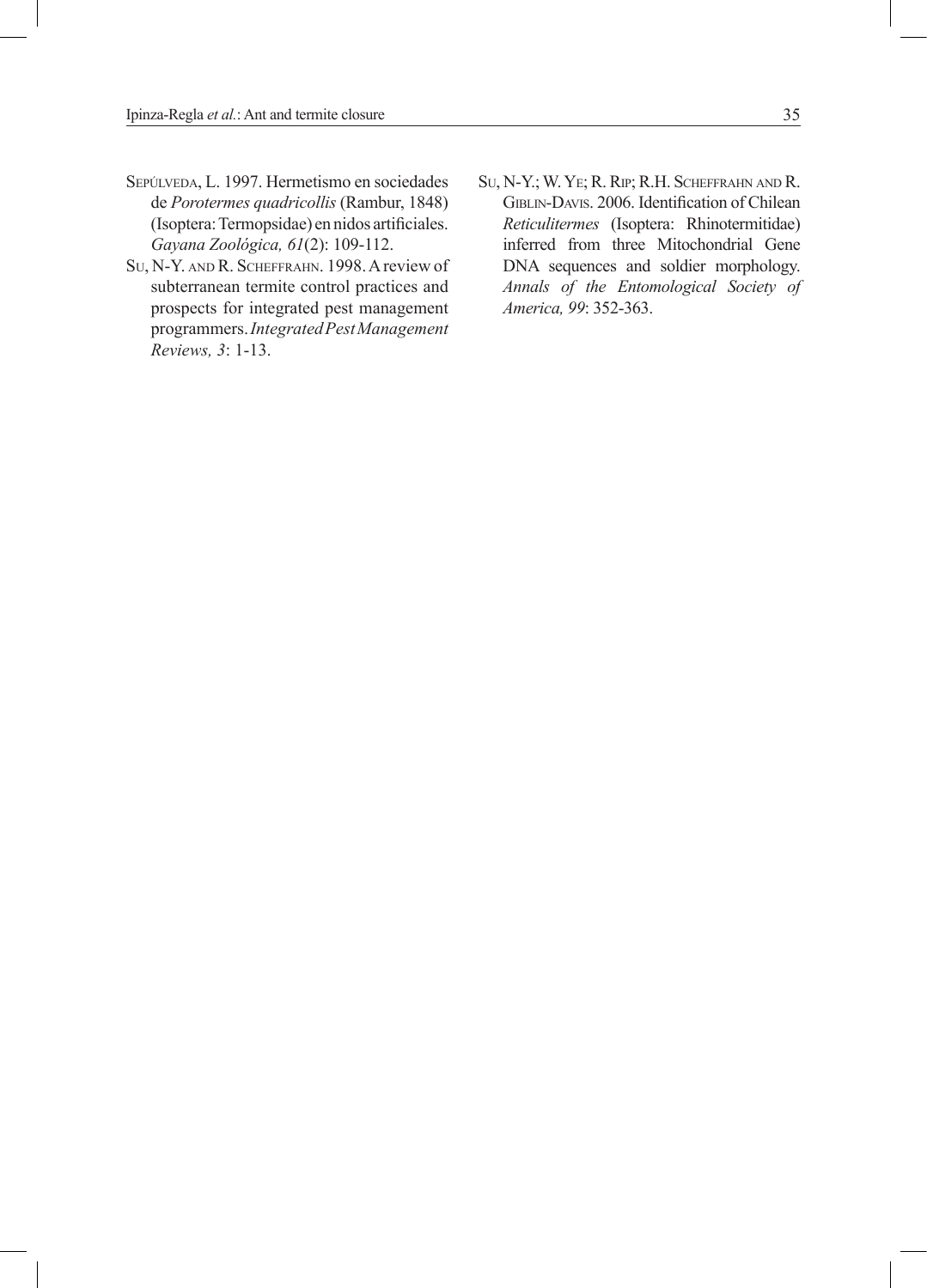- SEPÚLVEDA, L. 1997. Hermetismo en sociedades de *Porotermes quadricollis* (Rambur, 1848) (Isoptera: Termopsidae) en nidos artificiales. *Gayana Zoológica, 61*(2): 109-112.
- Su, N-Y. and R. Scheffrahn. 1998. A review of subterranean termite control practices and prospects for integrated pest management programmers. *Integrated Pest Management Reviews, 3*: 1-13.
- Su, N-Y.; W. Ye; R. Rip; R.H. Scheffrahn and R. GIBLIN-DAVIS. 2006. Identification of Chilean *Reticulitermes* (Isoptera: Rhinotermitidae) inferred from three Mitochondrial Gene DNA sequences and soldier morphology. *Annals of the Entomological Society of America, 99*: 352-363.